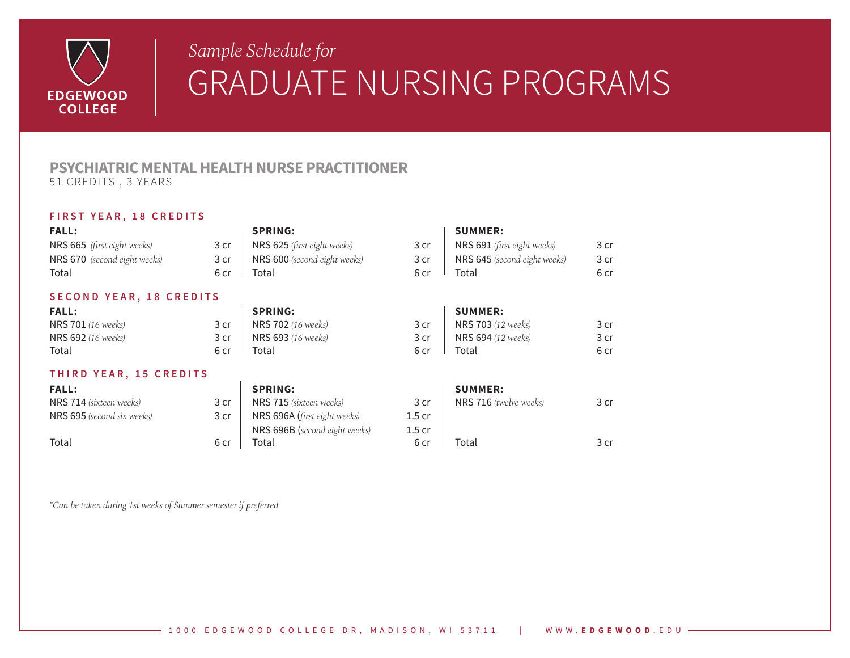

## *Sample Schedule for Sample Schedule for*GRADUATE NURSING PROGRAMS

## **PSYCHIATRIC MENTAL HEALTH NURSE PRACTITIONER** 51 CREDITS , 3 YEARS

## **FIRST YEAR, 18 CREDITS**

| <b>FALL:</b>                 |      | <b>SPRING:</b>                |                   | <b>SUMMER:</b>               |                 |
|------------------------------|------|-------------------------------|-------------------|------------------------------|-----------------|
| NRS 665 (first eight weeks)  | 3 cr | NRS 625 (first eight weeks)   | 3 cr              | NRS 691 (first eight weeks)  | 3 cr            |
| NRS 670 (second eight weeks) | 3 cr | NRS 600 (second eight weeks)  | 3 cr              | NRS 645 (second eight weeks) | 3 cr            |
| Total                        | 6 cr | Total                         | 6 cr              | Total                        | 6 cr            |
| SECOND YEAR, 18 CREDITS      |      |                               |                   |                              |                 |
| <b>FALL:</b>                 |      | <b>SPRING:</b>                |                   | <b>SUMMER:</b>               |                 |
| <b>NRS 701</b> (16 weeks)    | 3 cr | <b>NRS 702</b> (16 weeks)     | 3 <sub>cr</sub>   | <b>NRS 703</b> (12 weeks)    | 3 cr            |
| NRS 692 (16 weeks)           | 3 cr | NRS 693 (16 weeks)            | 3 cr              | NRS 694 (12 weeks)           | 3 cr            |
| Total                        | 6 cr | Total                         | 6 cr              | Total                        | 6 cr            |
| THIRD YEAR, 15 CREDITS       |      |                               |                   |                              |                 |
| <b>FALL:</b>                 |      | <b>SPRING:</b>                |                   | <b>SUMMER:</b>               |                 |
| NRS 714 (sixteen weeks)      | 3 cr | NRS 715 (sixteen weeks)       | 3 cr              | NRS 716 (twelve weeks)       | 3 <sub>cr</sub> |
| NRS 695 (second six weeks)   | 3 cr | NRS 696A (first eight weeks)  | 1.5 <sub>cr</sub> |                              |                 |
|                              |      | NRS 696B (second eight weeks) | 1.5 <sub>cr</sub> |                              |                 |
| Total                        | 6 cr | Total                         | 6 cr              | Total                        | 3 cr            |

*\*Can be taken during 1st weeks of Summer semester if preferred*